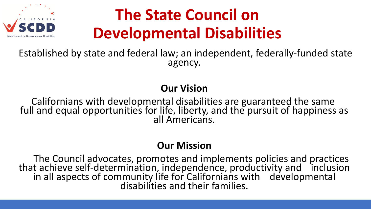

# **The State Council on Developmental Disabilities**

Established by state and federal law; an independent, federally-funded state agency.

#### **Our Vision**

Californians with developmental disabilities are guaranteed the same full and equal opportunities for life, liberty, and the pursuit of happiness as all Americans.

#### **Our Mission**

The Council advocates, promotes and implements policies and practices that achieve self-determination, independence, productivity and inclusion in all aspects of community life for Californians with developmental disabilities and their families.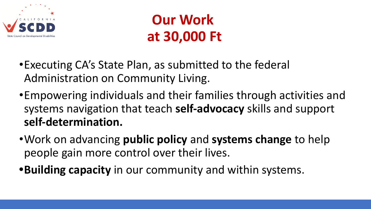

## **Our Work at 30,000 Ft**

- •Executing CA's State Plan, as submitted to the federal Administration on Community Living.
- •Empowering individuals and their families through activities and systems navigation that teach **self-advocacy** skills and support **self-determination.**
- •Work on advancing **public policy** and **systems change** to help people gain more control over their lives.
- **•Building capacity** in our community and within systems.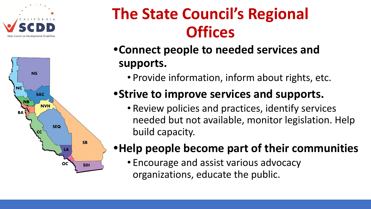



# **The State Council's Regional Offices**

## **•Connect people to needed services and supports.**

• Provide information, inform about rights, etc.

## **•Strive to improve services and supports.**

• Review policies and practices, identify services needed but not available, monitor legislation. Help build capacity.

### **•Help people become part of their communities**

• Encourage and assist various advocacy organizations, educate the public.